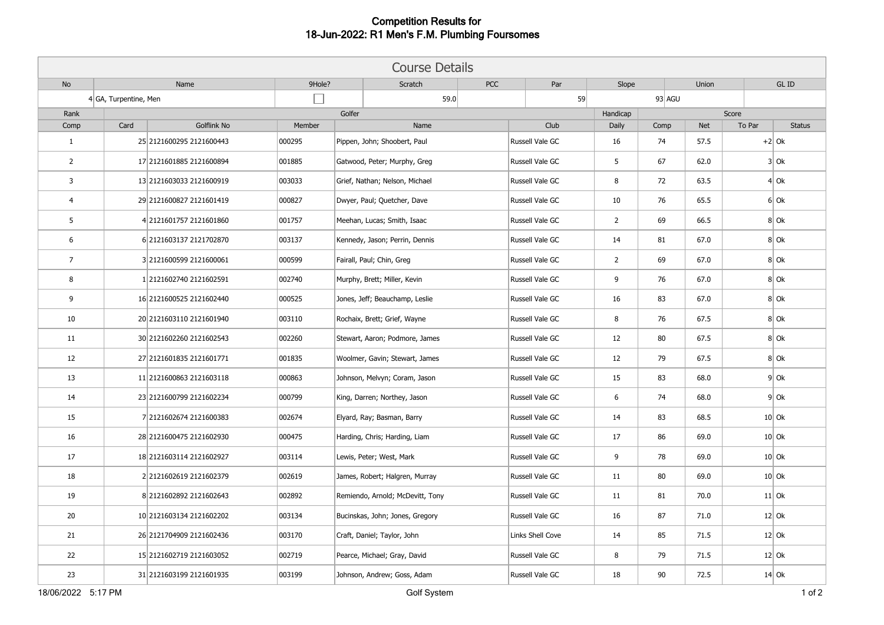## **Competition Results for 18-Jun-2022: R1 Men's F.M. Plumbing Foursomes**

| <b>Course Details</b>   |                       |                          |        |                                  |            |                  |                |      |            |        |               |
|-------------------------|-----------------------|--------------------------|--------|----------------------------------|------------|------------------|----------------|------|------------|--------|---------------|
| No                      |                       | Name                     |        | Scratch                          | <b>PCC</b> | Par              | Slope          |      | Union      |        | GL ID         |
|                         | 4 GA, Turpentine, Men |                          | 59.0   |                                  |            | 59               | $93$ AGU       |      |            |        |               |
| Rank                    |                       |                          | Golfer |                                  |            |                  | Handicap       |      | Score      |        |               |
| Comp                    | Card                  | Golflink No              | Member | Name                             |            | Club             | Daily          | Comp | <b>Net</b> | To Par | <b>Status</b> |
| $\mathbf{1}$            |                       | 25 2121600295 2121600443 | 000295 | Pippen, John; Shoobert, Paul     |            | Russell Vale GC  | 16             | 74   | 57.5       |        | $+2$ Ok       |
| $\overline{2}$          |                       | 17 2121601885 2121600894 | 001885 | Gatwood, Peter; Murphy, Greg     |            | Russell Vale GC  | 5              | 67   | 62.0       |        | $3$ Ok        |
| $\overline{\mathbf{3}}$ |                       | 13 2121603033 2121600919 | 003033 | Grief, Nathan; Nelson, Michael   |            | Russell Vale GC  | 8              | 72   | 63.5       |        | 4 0k          |
| 4                       |                       | 29 2121600827 2121601419 | 000827 | Dwyer, Paul; Quetcher, Dave      |            | Russell Vale GC  | 10             | 76   | 65.5       |        | $6$ Ok        |
| 5                       |                       | 4 2121601757 2121601860  | 001757 | Meehan, Lucas; Smith, Isaac      |            | Russell Vale GC  | $\overline{2}$ | 69   | 66.5       |        | $8$ Ok        |
| 6                       |                       | 6 2121603137 2121702870  | 003137 | Kennedy, Jason; Perrin, Dennis   |            | Russell Vale GC  | 14             | 81   | 67.0       |        | $8$ Ok        |
| $\overline{7}$          |                       | 3 2121600599 2121600061  | 000599 | Fairall, Paul; Chin, Greg        |            | Russell Vale GC  | $\overline{2}$ | 69   | 67.0       |        | $8$ Ok        |
| 8                       |                       | 1 2121602740 2121602591  | 002740 | Murphy, Brett; Miller, Kevin     |            | Russell Vale GC  | 9              | 76   | 67.0       |        | $8$ Ok        |
| 9                       |                       | 16 2121600525 2121602440 | 000525 | Jones, Jeff; Beauchamp, Leslie   |            | Russell Vale GC  | 16             | 83   | 67.0       |        | $8$ Ok        |
| 10                      |                       | 20 2121603110 2121601940 | 003110 | Rochaix, Brett; Grief, Wayne     |            | Russell Vale GC  | 8              | 76   | 67.5       |        | $8$ Ok        |
| 11                      |                       | 30 2121602260 2121602543 | 002260 | Stewart, Aaron; Podmore, James   |            | Russell Vale GC  | 12             | 80   | 67.5       |        | $8$ Ok        |
| 12                      |                       | 27 2121601835 2121601771 | 001835 | Woolmer, Gavin; Stewart, James   |            | Russell Vale GC  | 12             | 79   | 67.5       |        | $8$ Ok        |
| 13                      |                       | 11 2121600863 2121603118 | 000863 | Johnson, Melvyn; Coram, Jason    |            | Russell Vale GC  | 15             | 83   | 68.0       |        | $9$ Ok        |
| 14                      |                       | 23 2121600799 2121602234 | 000799 | King, Darren; Northey, Jason     |            | Russell Vale GC  | 6              | 74   | 68.0       |        | $9$ Ok        |
| 15                      |                       | 7 2121602674 2121600383  | 002674 | Elyard, Ray; Basman, Barry       |            | Russell Vale GC  | 14             | 83   | 68.5       |        | $10$ Ok       |
| 16                      |                       | 28 2121600475 2121602930 | 000475 | Harding, Chris; Harding, Liam    |            | Russell Vale GC  | 17             | 86   | 69.0       |        | $10$ Ok       |
| 17                      |                       | 18 2121603114 2121602927 | 003114 | Lewis, Peter; West, Mark         |            | Russell Vale GC  | 9              | 78   | 69.0       |        | $10$ Ok       |
| 18                      |                       | 2 2121602619 2121602379  | 002619 | James, Robert; Halgren, Murray   |            | Russell Vale GC  | 11             | 80   | 69.0       |        | $10$ Ok       |
| 19                      |                       | 8 2121602892 2121602643  | 002892 | Remiendo, Arnold; McDevitt, Tony |            | Russell Vale GC  | 11             | 81   | 70.0       |        | $11$ Ok       |
| 20                      |                       | 10 2121603134 2121602202 | 003134 | Bucinskas, John; Jones, Gregory  |            | Russell Vale GC  | 16             | 87   | 71.0       |        | $12$ Ok       |
| 21                      |                       | 26 2121704909 2121602436 | 003170 | Craft, Daniel; Taylor, John      |            | Links Shell Cove | 14             | 85   | 71.5       |        | $12$ Ok       |
| 22                      |                       | 15 2121602719 2121603052 | 002719 | Pearce, Michael; Gray, David     |            | Russell Vale GC  | 8              | 79   | 71.5       |        | $12$ Ok       |
| 23                      |                       | 31 2121603199 2121601935 | 003199 | Johnson, Andrew; Goss, Adam      |            | Russell Vale GC  | 18             | 90   | 72.5       |        | $14$ Ok       |
| 18/06/2022 5:17 PM      |                       |                          |        | Golf System                      |            |                  |                |      |            |        | $1$ of $2$    |